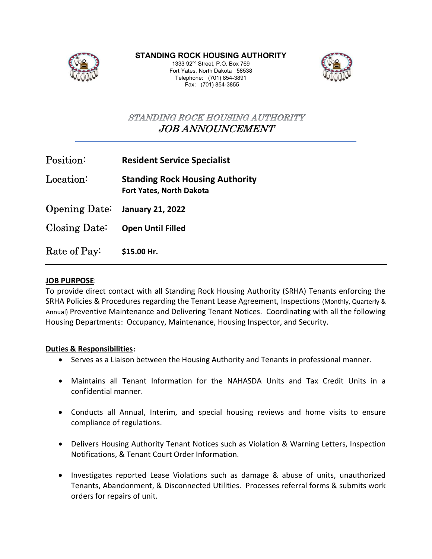

STANDING ROCK HOUSING AUTHORITY

1333 92nd Street, P.O. Box 769 Fort Yates, North Dakota 58538 Telephone: (701) 854-3891 Fax: (701) 854-3855



STANDING ROCK HOUSING AUTHORITY JOB ANNOUNCEMENT

| $\operatorname{Position}:$ | <b>Resident Service Specialist</b> |
|----------------------------|------------------------------------|
|----------------------------|------------------------------------|

Location: Standing Rock Housing Authority Fort Yates, North Dakota

Opening Date: January 21, 2022

Closing Date: Open Until Filled

Rate of Pay: \$15.00 Hr.

#### JOB PURPOSE:

To provide direct contact with all Standing Rock Housing Authority (SRHA) Tenants enforcing the SRHA Policies & Procedures regarding the Tenant Lease Agreement, Inspections (Monthly, Quarterly & Annual) Preventive Maintenance and Delivering Tenant Notices. Coordinating with all the following Housing Departments: Occupancy, Maintenance, Housing Inspector, and Security.

#### Duties & Responsibilities:

- Serves as a Liaison between the Housing Authority and Tenants in professional manner.
- Maintains all Tenant Information for the NAHASDA Units and Tax Credit Units in a confidential manner.
- Conducts all Annual, Interim, and special housing reviews and home visits to ensure compliance of regulations.
- Delivers Housing Authority Tenant Notices such as Violation & Warning Letters, Inspection Notifications, & Tenant Court Order Information.
- Investigates reported Lease Violations such as damage & abuse of units, unauthorized Tenants, Abandonment, & Disconnected Utilities. Processes referral forms & submits work orders for repairs of unit.